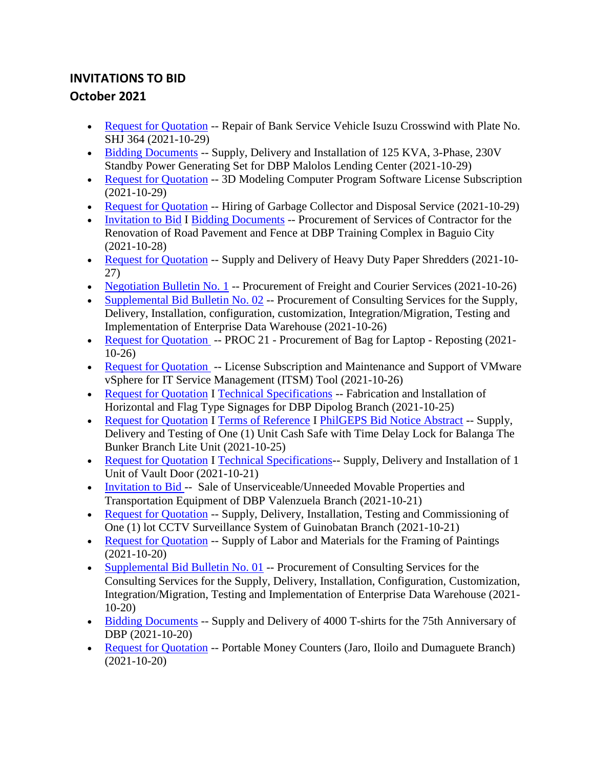## **INVITATIONS TO BID October 2021**

- [Request for Quotation](https://www.dbp.ph/wp-content/uploads/2021/10/RFQ-2021.pdf) -- Repair of Bank Service Vehicle Isuzu Crosswind with Plate No. SHJ 364 (2021-10-29)
- [Bidding Documents](https://www.dbp.ph/wp-content/uploads/2021/10/Malolos-GENSET-BID-Docs-Posted.pdf) -- Supply, Delivery and Installation of 125 KVA, 3-Phase, 230V Standby Power Generating Set for DBP Malolos Lending Center (2021-10-29)
- [Request for Quotation](https://www.dbp.ph/wp-content/uploads/2021/10/Request-for-Quotation-3D-modeling-software-2021.pdf) -- 3D Modeling Computer Program Software License Subscription (2021-10-29)
- [Request for Quotation](https://www.dbp.ph/wp-content/uploads/2021/10/Request-for-Quotation-Garbage-Hauling-2021.pdf) -- Hiring of Garbage Collector and Disposal Service (2021-10-29)
- [Invitation to Bid](https://www.dbp.ph/wp-content/uploads/2021/10/Invitation-to-Bid_Renovation-of-Pavement-Road-at-DBP-Baguio-TC.pdf) I [Bidding Documents](https://www.dbp.ph/wp-content/uploads/2021/10/Bidding-Documents_-Renovation-of-Road-Pavement-of-Baguio-TC.pdf) -- Procurement of Services of Contractor for the Renovation of Road Pavement and Fence at DBP Training Complex in Baguio City (2021-10-28)
- [Request for Quotation](https://www.dbp.ph/wp-content/uploads/2021/10/REQUEST-FOR-DBP-WEBSITE-POSTING_PAPER-SHREDDER-1.pdf) -- Supply and Delivery of Heavy Duty Paper Shredders (2021-10-27)
- [Negotiation Bulletin No. 1](https://www.dbp.ph/wp-content/uploads/2021/10/Nego-Bulletin-No.-1-Freight-and-Courier-Services-N-G-2021-05.pdf) -- Procurement of Freight and Courier Services (2021-10-26)
- [Supplemental Bid Bulletin No. 02](https://www.dbp.ph/wp-content/uploads/2021/10/Bid-Bulletin-No.-02_Enterprise-Data-Warehouse_10.21.2021.pdf) -- Procurement of Consulting Services for the Supply, Delivery, Installation, configuration, customization, Integration/Migration, Testing and Implementation of Enterprise Data Warehouse (2021-10-26)
- [Request for Quotation](https://www.dbp.ph/wp-content/uploads/2021/10/PhilGEPS-Ref8122390-Reposting-Bag-for-Laptop.pdf) -- PROC 21 Procurement of Bag for Laptop Reposting (2021-10-26)
- [Request for Quotation](https://www.dbp.ph/wp-content/uploads/2021/10/VMware-1.pdf) -- License Subscription and Maintenance and Support of VMware vSphere for IT Service Management (ITSM) Tool (2021-10-26)
- [Request for Quotation](https://www.dbp.ph/wp-content/uploads/2021/10/RFQ-SIGNAGE001.pdf) I [Technical Specifications](https://www.dbp.ph/wp-content/uploads/2021/10/TECHNICAL-SPECS.pdf) -- Fabrication and Installation of Horizontal and Flag Type Signages for DBP Dipolog Branch (2021-10-25)
- [Request for Quotation](https://www.dbp.ph/wp-content/uploads/2021/10/Revised-Request-for-Quotation-October-25-2021.pdf) I [Terms of Reference](https://www.dbp.ph/wp-content/uploads/2021/10/Signed-Terms-of-Reference.pdf) I [PhilGEPS Bid Notice Abstract](https://www.dbp.ph/wp-content/uploads/2021/10/PhilGEPS-Bid-Notice-Abstract-RFQ-Reference-No.-8116308.pdf) -- Supply, Delivery and Testing of One (1) Unit Cash Safe with Time Delay Lock for Balanga The Bunker Branch Lite Unit (2021-10-25)
- [Request for Quotation](https://www.dbp.ph/wp-content/uploads/2021/10/CAPEX-2021-RFQs-Vault-Door.pdf) I [Technical Specifications-](https://www.dbp.ph/wp-content/uploads/2021/10/Vault-Door-Tech-Specs.pdf) Supply, Delivery and Installation of 1 Unit of Vault Door (2021-10-21)
- [Invitation to Bid -](https://www.dbp.ph/wp-content/uploads/2021/10/2-Invitation-to-Bid-VALENZUELA-for-posting-Oct-21-to-Nov-3.pdf) Sale of Unserviceable/Unneeded Movable Properties and Transportation Equipment of DBP Valenzuela Branch (2021-10-21)
- [Request for Quotation](https://www.dbp.ph/wp-content/uploads/2021/10/2021-010-CCTV-GUINOBATAN.pdf) -- Supply, Delivery, Installation, Testing and Commissioning of One (1) lot CCTV Surveillance System of Guinobatan Branch (2021-10-21)
- [Request for Quotation](https://www.dbp.ph/wp-content/uploads/2021/10/PhilGEPS-Ref8102629-Reposting-Supply-of-Labor-Materials-Framing-of-Paintings.pdf) -- Supply of Labor and Materials for the Framing of Paintings (2021-10-20)
- [Supplemental Bid Bulletin No. 01](https://www.dbp.ph/wp-content/uploads/2021/10/Supple-Bid-BUlletin-No.-01-C-2021-09-EDW.pdf) -- Procurement of Consulting Services for the Consulting Services for the Supply, Delivery, Installation, Configuration, Customization, Integration/Migration, Testing and Implementation of Enterprise Data Warehouse (2021- 10-20)
- [Bidding Documents](https://www.dbp.ph/wp-content/uploads/2021/10/bidding-docs-polo-shirt.pdf) -- Supply and Delivery of 4000 T-shirts for the 75th Anniversary of DBP (2021-10-20)
- [Request for Quotation](https://www.dbp.ph/wp-content/uploads/2021/10/BBG-WESTERN-VISAYAS-Portable-Money-Counters-Jaro-Iloilo-and-Dumaguete-Branch.pdf) -- Portable Money Counters (Jaro, Iloilo and Dumaguete Branch) (2021-10-20)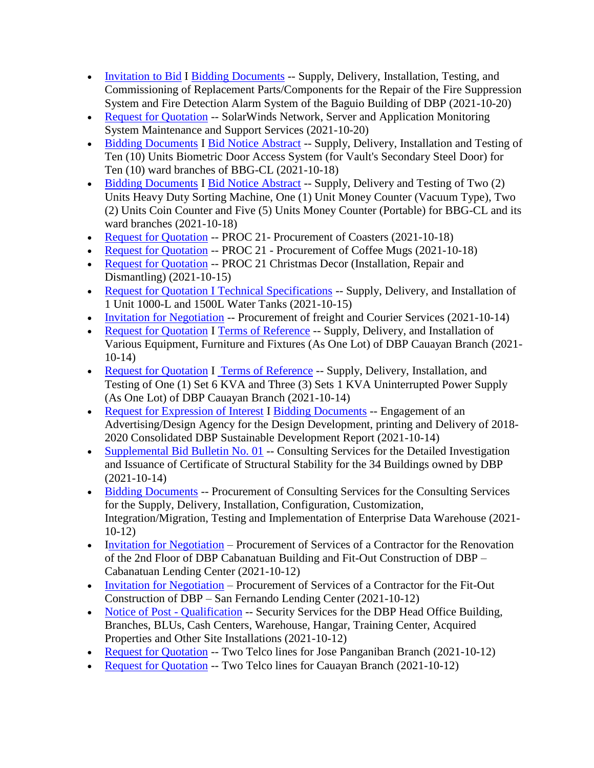- [Invitation to Bid](https://www.dbp.ph/wp-content/uploads/2021/10/Invitation-to-Bid-Fire-Supression-System.pdf) I [Bidding Documents](https://www.dbp.ph/wp-content/uploads/2021/10/Bidding-Documents_Fire-Supression-System.pdf) -- Supply, Delivery, Installation, Testing, and Commissioning of Replacement Parts/Components for the Repair of the Fire Suppression System and Fire Detection Alarm System of the Baguio Building of DBP (2021-10-20)
- [Request for Quotation](https://www.dbp.ph/wp-content/uploads/2021/10/Request-for-Quotation-Solarwinds-2021.pdf) -- SolarWinds Network, Server and Application Monitoring System Maintenance and Support Services (2021-10-20)
- [Bidding Documents](https://www.dbp.ph/wp-content/uploads/2021/10/BAS-BIDDING-DOCUMENTS.pdf) I [Bid Notice Abstract](https://www.dbp.ph/wp-content/uploads/2021/10/PhilGEPS-Bid-Notice-Abstract-ITB-Ref.-No.8092207.pdf) -- Supply, Delivery, Installation and Testing of Ten (10) Units Biometric Door Access System (for Vault's Secondary Steel Door) for Ten (10) ward branches of BBG-CL (2021-10-18)
- [Bidding Documents](https://www.dbp.ph/wp-content/uploads/2021/10/VARIOUS-MONEY-COUNTING-MACHINES-BIDDING-DOCUMENTS.pdf) I [Bid Notice Abstract](https://www.dbp.ph/wp-content/uploads/2021/10/PhilGEPS-Bid-Notice-Abstract-ITB-Ref.-No.-8092657-Various-Counting-Machines.pdf) -- Supply, Delivery and Testing of Two (2) Units Heavy Duty Sorting Machine, One (1) Unit Money Counter (Vacuum Type), Two (2) Units Coin Counter and Five (5) Units Money Counter (Portable) for BBG-CL and its ward branches (2021-10-18)
- [Request for Quotation](https://www.dbp.ph/wp-content/uploads/2021/10/Coasters-Ref-No.-8094136.pdf) -- PROC 21- Procurement of Coasters (2021-10-18)
- [Request for Quotation](https://www.dbp.ph/wp-content/uploads/2021/10/Coffee-Mug-Ref-No.-8094113.pdf) -- PROC 21 Procurement of Coffee Mugs (2021-10-18)
- [Request for Quotation](https://www.dbp.ph/wp-content/uploads/2021/10/RFQ-Christmas-Decor-Installation-Repair-and-Dismantling.pdf) -- PROC 21 Christmas Decor (Installation, Repair and Dismantling) (2021-10-15)
- [Request for Quotation I Technical Specifications](https://www.dbp.ph/wp-content/uploads/2021/10/1000-l-and-1500L-water-Tank-RFQ-and-Tech-Specs.pdf) -- Supply, Delivery, and Installation of 1 Unit 1000-L and 1500L Water Tanks (2021-10-15)
- [Invitation for Negotiation](https://www.dbp.ph/wp-content/uploads/2021/10/Invitation-for-Negotiation-Documents-Freight-and-Courier-Services-N-G-2021-05-1.pdf) -- Procurement of freight and Courier Services (2021-10-14)
- [Request for Quotation](https://www.dbp.ph/wp-content/uploads/2021/10/Request-for-Quotation-Cauayan-EFF.pdf) I [Terms of Reference](https://www.dbp.ph/wp-content/uploads/2021/10/AnnexA-Cauayan-EFF-TOR.pdf) -- Supply, Delivery, and Installation of Various Equipment, Furniture and Fixtures (As One Lot) of DBP Cauayan Branch (2021- 10-14)
- [Request for Quotation](https://www.dbp.ph/wp-content/uploads/2021/10/Request-for-Quotation-Cauayan-UPS.pdf) I [Terms of Reference](https://www.dbp.ph/wp-content/uploads/2021/10/Annex-A-Cauayan-UPS-TOR.pdf) -- Supply, Delivery, Installation, and Testing of One (1) Set 6 KVA and Three (3) Sets 1 KVA Uninterrupted Power Supply (As One Lot) of DBP Cauayan Branch (2021-10-14)
- [Request for Expression of Interest](https://www.dbp.ph/wp-content/uploads/2021/10/REI_Design-Agency-for-the-CY2018-2020-SDR-REbid.pdf) I [Bidding Documents](https://www.dbp.ph/wp-content/uploads/2021/10/Bidding-Docs_Design-Agency-for-SDR-CY2018-2020-Rebid.pdf) -- Engagement of an Advertising/Design Agency for the Design Development, printing and Delivery of 2018- 2020 Consolidated DBP Sustainable Development Report (2021-10-14)
- [Supplemental Bid Bulletin No. 01](https://www.dbp.ph/wp-content/uploads/2021/10/Bid-Bulletin-No.-01_Structural-Analysis-of-34-DBP-Owned-Buildings_10.14.2021-3.pdf) -- Consulting Services for the Detailed Investigation and Issuance of Certificate of Structural Stability for the 34 Buildings owned by DBP (2021-10-14)
- [Bidding Documents](https://www.dbp.ph/wp-content/uploads/2021/10/Bidding-Docs_Enterprise-Data-Warehouse-EDW_Corrected-2.pdf) -- Procurement of Consulting Services for the Consulting Services for the Supply, Delivery, Installation, Configuration, Customization, Integration/Migration, Testing and Implementation of Enterprise Data Warehouse (2021- 10-12)
- [Invitation for Negotiation](https://www.dbp.ph/wp-content/uploads/2021/10/CABLC-NEGOTIATED-PROCUREMENT-REFERENCE-NO.-N-I-2021-09-FINAL.pdf) Procurement of Services of a Contractor for the Renovation of the 2nd Floor of DBP Cabanatuan Building and Fit-Out Construction of DBP – Cabanatuan Lending Center (2021-10-12)
- [Invitation for Negotiation](https://www.dbp.ph/wp-content/uploads/2021/10/SFLC-NEGOTIATED-PROCUREMENT-REFERENCE-NO.-N-I-2021-08-FINAL-1-607.pdf) Procurement of Services of a Contractor for the Fit-Out Construction of DBP – San Fernando Lending Center (2021-10-12)
- [Notice of Post -](https://www.dbp.ph/wp-content/uploads/2021/10/Notice-of-Post-Qualification-Security-Service-G-2021-28.pdf) Qualification -- Security Services for the DBP Head Office Building, Branches, BLUs, Cash Centers, Warehouse, Hangar, Training Center, Acquired Properties and Other Site Installations (2021-10-12)
- [Request for Quotation](https://www.dbp.ph/wp-content/uploads/2021/10/Request-for-quotation-Two-Telco-lines-for-JOSE-PANGANIBAN-BRANCH.pdf) -- Two Telco lines for Jose Panganiban Branch (2021-10-12)
- [Request for Quotation](https://www.dbp.ph/wp-content/uploads/2021/10/Request-for-quotation-Two-Telco-lines-for-CAUAYAN-BRANCH.pdf) -- Two Telco lines for Cauayan Branch (2021-10-12)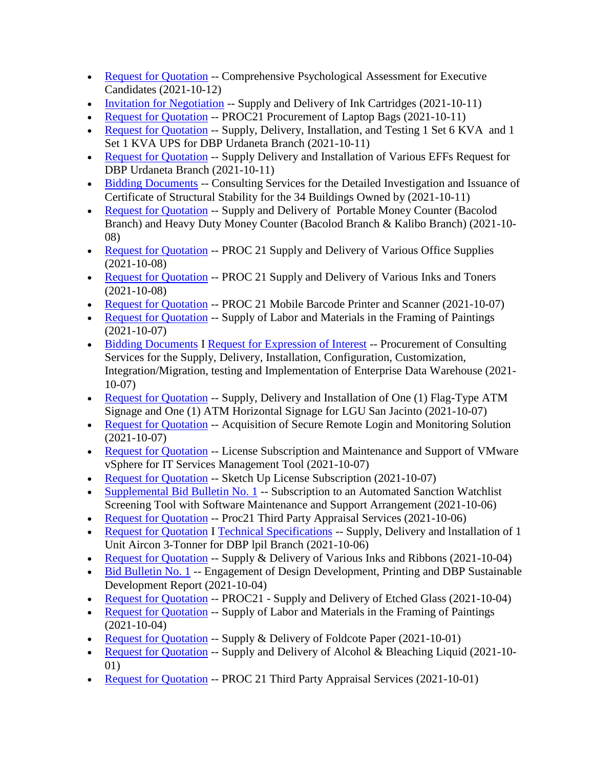- [Request for Quotation](https://www.dbp.ph/wp-content/uploads/2021/10/Request-for-quotation-Comprehensive-Psychological-Assessment-for-Executive-Candidates-.pdf) -- Comprehensive Psychological Assessment for Executive Candidates (2021-10-12)
- [Invitation for Negotiation](https://www.dbp.ph/wp-content/uploads/2021/10/Invitation-to-Negotiation-Ink-Cartridges-N-G-2021-04.pdf) -- Supply and Delivery of Ink Cartridges (2021-10-11)
- [Request for Quotation](https://www.dbp.ph/wp-content/uploads/2021/10/PhilGEPS-Ref8071596-Bag-for-Laptop.pdf) -- PROC21 Procurement of Laptop Bags (2021-10-11)
- [Request for Quotation](https://www.dbp.ph/wp-content/uploads/2021/10/1-Request-for-Quotation-Urdaneta-UPS.pdf) -- Supply, Delivery, Installation, and Testing 1 Set 6 KVA and 1 Set 1 KVA UPS for DBP Urdaneta Branch (2021-10-11)
- [Request for Quotation](https://www.dbp.ph/wp-content/uploads/2021/10/1-Request-for-Quotation-Urdaneta-EFF.pdf) -- Supply Delivery and Installation of Various EFFs Request for DBP Urdaneta Branch (2021-10-11)
- [Bidding Documents](https://www.dbp.ph/wp-content/uploads/2021/10/Bidding-Documents_Structural-Analysis-for-34-DBP-Owned-Buildings_Final-1.pdf) -- Consulting Services for the Detailed Investigation and Issuance of Certificate of Structural Stability for the 34 Buildings Owned by (2021-10-11)
- [Request for Quotation](https://www.dbp.ph/wp-content/uploads/2021/10/BBG-WESTERN-VISAYAS-Portable-Money-Counter-Bacolod-BranchHeavy-Duty-Money-Counter-Bacolod-Branch-Kalibo-Branch.pdf) -- Supply and Delivery of Portable Money Counter (Bacolod Branch) and Heavy Duty Money Counter (Bacolod Branch & Kalibo Branch) (2021-10- 08)
- [Request for Quotation](https://www.dbp.ph/wp-content/uploads/2021/10/PhilGEPS-Ref8063394-Various-Office-Supplies.pdf) -- PROC 21 Supply and Delivery of Various Office Supplies (2021-10-08)
- [Request for Quotation](https://www.dbp.ph/wp-content/uploads/2021/10/PhilGEPS-Ref8063448-Various-Inks-and-Toners.pdf) -- PROC 21 Supply and Delivery of Various Inks and Toners (2021-10-08)
- [Request for Quotation](https://www.dbp.ph/wp-content/uploads/2021/10/RFQ-Mobile-Barcode-Printer-and-Scanner.pdf) -- PROC 21 Mobile Barcode Printer and Scanner (2021-10-07)
- [Request for Quotation](https://www.dbp.ph/wp-content/uploads/2021/10/Revised-PhilGEPS-8050577-Supply-and-Labor-and-Materials-in-the-Framing-of-Paintings.pdf) -- Supply of Labor and Materials in the Framing of Paintings (2021-10-07)
- [Bidding Documents](https://www.dbp.ph/wp-content/uploads/2021/10/Bidding-Docs_Enterprise-Data-Warehouse-EDW.pdf) I [Request for Expression of Interest](https://www.dbp.ph/wp-content/uploads/2021/10/REI_Enterprise-Data-Warehouse.pdf) -- Procurement of Consulting Services for the Supply, Delivery, Installation, Configuration, Customization, Integration/Migration, testing and Implementation of Enterprise Data Warehouse (2021- 10-07)
- [Request for Quotation](https://www.dbp.ph/wp-content/uploads/2021/10/1-Request-for-Quotation-LGU-San-Jacinto-ATM-Signage.pdf) -- Supply, Delivery and Installation of One (1) Flag-Type ATM Signage and One (1) ATM Horizontal Signage for LGU San Jacinto (2021-10-07)
- [Request for Quotation](https://www.dbp.ph/wp-content/uploads/2021/10/RFQ-Secure-remote-Login-1.pdf) -- Acquisition of Secure Remote Login and Monitoring Solution (2021-10-07)
- [Request for Quotation](https://www.dbp.ph/wp-content/uploads/2021/10/RFQ-VMware-vSphere-License-Subscription-and-Software-Maintenance-and-Support.pdf) -- License Subscription and Maintenance and Support of VMware vSphere for IT Services Management Tool (2021-10-07)
- [Request for Quotation](https://www.dbp.ph/wp-content/uploads/2021/10/RFQ-Sketch-up.pdf) -- Sketch Up License Subscription (2021-10-07)
- [Supplemental Bid Bulletin No. 1](https://www.dbp.ph/wp-content/uploads/2021/10/BAC10062021143817.pdf) -- Subscription to an Automated Sanction Watchlist Screening Tool with Software Maintenance and Support Arrangement (2021-10-06)
- [Request for](https://www.dbp.ph/wp-content/uploads/2021/10/Philgeps-Ref-No.-8059232-3rd-party-OLRA.pdf) Quotation -- Proc21 Third Party Appraisal Services (2021-10-06)
- [Request for Quotation](https://www.dbp.ph/wp-content/uploads/2021/10/SIGNED-RFQ-3-TONNER-AIRCON001.pdf) I [Technical Specifications](https://www.dbp.ph/wp-content/uploads/2021/10/TECHNICAL-SPECS-3-TONNER-AIRCON001.pdf) -- Supply, Delivery and Installation of 1 Unit Aircon 3-Tonner for DBP lpil Branch (2021-10-06)
- [Request for Quotation](https://www.dbp.ph/wp-content/uploads/2021/10/PhilGEPS-Ref8051460-Supply-Delivery-of-Various-Ribbons-and-Inks.pdf) -- Supply & Delivery of Various Inks and Ribbons (2021-10-04)
- [Bid Bulletin No. 1](https://www.dbp.ph/wp-content/uploads/2021/10/BAC10042021133014.pdf) -- Engagement of Design Development, Printing and DBP Sustainable Development Report (2021-10-04)
- [Request for Quotation](https://www.dbp.ph/wp-content/uploads/2021/10/Philgeps-Ref-No.-8051107.pdf) -- PROC21 Supply and Delivery of Etched Glass (2021-10-04)
- [Request for Quotation](https://www.dbp.ph/wp-content/uploads/2021/10/PhilGEPS-Ref8050577-Framing-of-Paintings.pdf) -- Supply of Labor and Materials in the Framing of Paintings (2021-10-04)
- [Request for Quotation](https://www.dbp.ph/wp-content/uploads/2021/10/PhilGEPS-Ref8046890-Foldcote-1.pdf) -- Supply & Delivery of Foldcote Paper (2021-10-01)
- [Request for Quotation](https://www.dbp.ph/wp-content/uploads/2021/10/PhilGEPS-Ref8046104-Alcohol-Bleaching-Liquid.pdf) -- Supply and Delivery of Alcohol & Bleaching Liquid (2021-10-01)
- [Request for Quotation](https://www.dbp.ph/wp-content/uploads/2021/10/PHILGEPS-No-8046962-Third-Party-Appraisal-Services.pdf) -- PROC 21 Third Party Appraisal Services (2021-10-01)